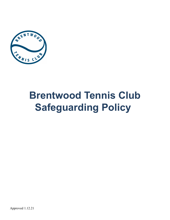

# **Brentwood Tennis Club Safeguarding Policy**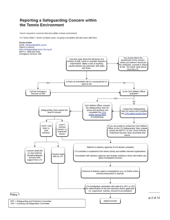# Reporting a Safeguarding Concern within the Tennis Environment

How to respond to concerns that arise within a tennis environment.

For Tennis Wales / Tennis Scotland cases, on-going consultation will take place with them.

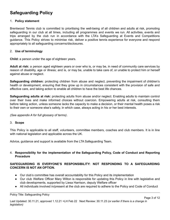# **Safeguarding Policy**

## 1. **Policy statement**

Brentwood Tennis club is committed to prioritising the well-being of all children and adults at risk, promoting safeguarding in our club at all times, including all programmes and events we run. All activities, events and trips arranged by the club run in accordance with the LTA's Safeguarding at Events and Competitions guidance. This Policy strives to minimise risk, deliver a positive tennis experience for everyone and respond appropriately to all safeguarding concerns/disclosures.

## 2. **Use of terminology**

**Child:** a person under the age of eighteen years.

**Adult at risk:** a person aged eighteen years or over who is, or may be, in need of community care services by reason of disability, age or illness; and is, or may be, unable to take care of, or unable to protect him or herself against abuse or neglect.

**Safeguarding children:** protecting children from abuse and neglect, preventing the impairment of children's health or development, ensuring that they grow up in circumstances consistent with the provision of safe and effective care, and taking action to enable all children to have the best life chances.

**Safeguarding adults at risk:** protecting adults from abuse and/or neglect. Enabling adults to maintain control over their lives and make informed choices without coercion. Empowering adults at risk, consulting them before taking action, unless someone lacks the capacity to make a decision, or their mental health poses a risk to their own or someone else's safety, in which case, always acting in his or her best interests.

*(See appendix A for full glossary of terms)*.

#### 3. **Scope**

This Policy is applicable to all staff, volunteers, committee members, coaches and club members. It is in line with national legislation and applicable across the UK.

Advice, guidance and support is available from the LTA Safeguarding Team.

## 4. **Responsibility for the implementation of the Safeguarding Policy, Code of Conduct and Reporting Procedure**

# **SAFEGUARDING IS EVERYONE'S RESPONSIBILITY: NOT RESPONDING TO A SAFEGUARDING CONCERN IS NOT AN OPTION.**

- Our club's committee has overall accountability for this Policy and its implementation
- Our club Welfare Officer Mary Wilton is responsible for updating this Policy in line with legislative and club developments, supported by Liesa Harrison, deputy Welfare officer
- All individuals involved in/present at the club are required to adhere to the Policy and Code of Conduct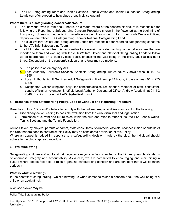● The LTA Safeguarding Team and Tennis Scotland, Tennis Wales and Tennis Foundation Safeguarding Leads can offer support to help clubs proactively safeguard.

# **Where there is a safeguarding concern/disclosure:**

- The individual who is told about, hears, or is made aware of the concern/disclosure is responsible for following the Reporting a Safeguarding Concern Procedure shown in the flowchart at the beginning of this policy. Unless someone is in immediate danger, they should inform their club Welfare Officer, deputy welfare officer, LTA Safeguarding Team or National Safeguarding Lead.
- The club Welfare Officer and Safeguarding Leads are responsible for reporting safeguarding concerns to the LTA Safe Safeguarding Team.
- The LTA Safeguarding Team is responsible for assessing all safeguarding concern/disclosures that are reported to them and working with the club Welfare Officer and National Safeguarding Leads to follow up as appropriate on a case-by-case basis, prioritising the well-being of the child/ adult at risk at all times. Dependent on the concern/disclosure, a referral may be made to:
	- o The police in an emergency (999);
	- **o** Local Authority Children's Services- Sheffield Safeguarding Hub 24 hours, 7 days a week 0114 273 4855
	- o Local Authority Adult Services Adult Safeguarding Partnership 24 hours, 7 days a week 0114 273 4908
	- o Designated Officer (England only) for concerns/disclosures about a member of staff, consultant, coach, official or volunteer. Sheffield Local Authority Designated Officer Andrew Adedoyin at 0114 2 734855 option 1 or email LADO@sheffield.gov.uk

## 5. **Breaches of the Safeguarding Policy, Code of Conduct and Reporting Procedure**

Breaches of this Policy and/or failure to comply with the outlined responsibilities may result in the following:

- Disciplinary action leading to possible exclusion from the club, dismissal and legal action
- Termination of current and future roles within the club and roles in other clubs, the LTA, Tennis Wales, Tennis Scotland and the Tennis Foundation*.*

Actions taken by players, parents or carers, staff, consultants, volunteers, officials, coaches inside or outside of the club that are seen to contradict this Policy may be considered a violation of this Policy. Where an appeal is lodged in response to a safeguarding decision made by the club, the individual should adhere to the club's appeal procedure.

#### 6. **Whistleblowing**

Safeguarding children and adults at risk requires everyone to be committed to the highest possible standards of openness, integrity and accountability. As a club, we are committed to encouraging and maintaining a culture where people feel able to raise a genuine safeguarding concern and are confident that it will be taken seriously.

#### **What is whistle blowing?**

In the context of safeguarding, "whistle blowing" is when someone raises a concern about the well-being of a child or an adult at risk.

A whistle blower may be: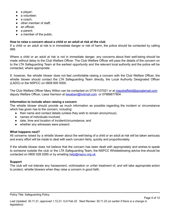- a player;
- a volunteer:
- a coach:
- other member of staff;
- an official:
- a parent;
- a member of the public.

# **How to raise a concern about a child or an adult at risk at the club**

If a child or an adult at risk is in immediate danger or risk of harm, the police should be contacted by calling 999.

Where a child or an adult at risk is not in immediate danger, any concerns about their well-being should be made without delay to the Club Welfare Officer. The Club Welfare Officer will pass the details of the concern on to the LTA Safeguarding Team at the earliest opportunity and the relevant local authority and the police will be contacted, where appropriate.

If, however, the whistle blower does not feel comfortable raising a concern with the Club Welfare Officer, the whistle blower should contact the LTA Safeguarding Team directly, the Local Authority Designated Officer (LADO) or the NSPCC on 0808 800 5000.

The Club Welfare Officer Mary Wilton can be contacted on 07761107021 or at [mazsheffield@googlemail.com](mailto:mazsheffield@googlemail.com) deputy Welfare Officer, Liesa Harrison at [liesabarr@hotmail.com](mailto:liesabarr@hotmail.com) or 07989877804

# **Information to include when raising a concern**

The whistle blower should provide as much information as possible regarding the incident or circumstance which has given rise to the concern, including:

- their name and contact details (unless they wish to remain anonymous);
- names of individuals involved:
- date, time and location of incident/circumstance; and
- whether any witnesses were present.

# **What happens next?**

All concerns raised by a whistle blower about the well-being of a child or an adult at risk will be taken seriously and every effort will be made to deal with each concern fairly, quickly and proportionately.

If the whistle blower does not believe that the concern has been dealt with appropriately and wishes to speak to someone outside the club or the LTA Safeguarding Team, the NSPCC Whistleblowing advice line should be contacted on 0800 028 0285 or by emailing [help@nspcc.org.uk](mailto:help@nspcc.org.uk).

# **Support**

The club will not tolerate any harassment, victimisation or unfair treatment of, and will take appropriate action to protect, whistle blowers when they raise a concern in good faith.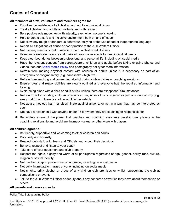# **Codes of Conduct**

# **All members of staff, volunteers and members agree to:**

- Prioritise the well-being of all children and adults at risk at all times
- Treat all children and adults at risk fairly and with respect
- Be a positive role model. Act with integrity, even when no one is looking
- Help to create a safe and inclusive environment both on and off court
- Not allow any rough or dangerous behaviour, bullying or the use of bad or inappropriate language
- Report all allegations of abuse or poor practice to the club Welfare Officer
- Not use any sanctions that humiliate or harm a child or adult at risk
- Value and celebrate diversity and make all reasonable efforts to meet individual needs
- Keep clear boundaries between professional and personal life, including on social media
- Have the relevant consent from parents/carers, children and adults before taking or using photos and videos- see our Social [Media](https://www.brentwoodtennisclub.com/social-media-policy) Policy and photography policy for more information
- Refrain from making physical contact with children or adults unless it is necessary as part of an emergency or congratulatory (e.g. handshake / high five)
- Refrain from smoking and consuming alcohol during club activities or coaching sessions
- **●** Ensure roles and responsibilities are clearly outlined and everyone has the required information and training
- Avoid being alone with a child or adult at risk unless there are exceptional circumstances
- Refrain from transporting children or adults at risk, unless this is required as part of a club activity (e.g. away match) and there is another adult in the vehicle
- Not abuse, neglect, harm or discriminate against anyone; or act in a way that may be interpreted as such
- Not have a relationship with anyone under 18 for whom they are coaching or responsible for
- Be acutely aware of the power that coaches and coaching assistants develop over players in the coaching relationship and avoid any intimacy (sexual or otherwise) with players

# **All children agree to:**

- Be friendly, supportive and welcoming to other children and adults
- Play fairly and honestly
- Respect club staff, volunteers and Officials and accept their decisions
- Behave, respect and listen to your coach
- Take care of your equipment and club property
- Respect the rights, dignity and worth of all participants regardless of age, gender, ability, race, culture, religion or sexual identity
- Not use bad, inappropriate or racist language, including on social media
- Not bully, intimidate or harass anyone, including on social media
- Not smoke, drink alcohol or drugs of any kind on club premises or whilst representing the club at competitions or events
- Talk to the club Welfare Officer or deputy about any concerns or worries they have about themselves or others

# **All parents and carers agree to:**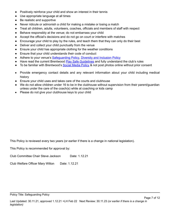- Positively reinforce your child and show an interest in their tennis
- Use appropriate language at all times
- Be realistic and supportive
- Never ridicule or admonish a child for making a mistake or losing a match
- Treat all children, adults, volunteers, coaches, officials and members of staff with respect
- Behave responsibly at the venue; do not embarrass your child
- Accept the official's decisions and do not go on court or interfere with matches
- Encourage your child to play by the rules, and teach them that they can only do their best
- Deliver and collect your child punctually from the venue
- Ensure your child has appropriate clothing for the weather conditions
- Ensure that your child understands their code of conduct
- Adhere to your venue's [Safeguarding](https://www.brentwoodtennisclub.com/policies) Policy, Diversity and [Inclusion](https://www.brentwoodtennisclub.com/diveraity-inclusion-policy) Policy
- Have read the current Brentwood Play Safe [Guidelines](https://www.brentwoodtennisclub.com/playsafeguidelines) and fully understand the club's rules
- To be familiar with Brentwood's Social [Media](https://www.brentwoodtennisclub.com/social-media-policy) Policy & not post photos online without prior consent
- Provide emergency contact details and any relevant information about your child including medical history
- Ensure your child uses and takes care of the courts and clubhouse
- We do not allow children under 16 to be in the clubhouse without supervision from their parent/guardian unless under the care of the coach(s) while at coaching or kids camp
- Please do not give your clubhouse keys to your child

This Policy is reviewed every two years (or earlier if there is a change in national legislation).

This Policy is recommended for approval by:

Club Committee Chair Steve Jackson Date: 1.12.21

Club Welfare Officer Mary Wilton Date: 1.12.21

Policy Title: Safeguarding Policy

Page 7 of 12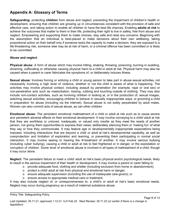# **Appendix A: Glossary of Terms**

**Safeguarding:** protecting **children** from abuse and neglect, preventing the impairment of children's health or development, ensuring that children are growing up in circumstances consistent with the provision of safe and effective care, and taking action to enable all children to have the best life chances. Enabling **adults at risk** to achieve the outcomes that matter to them in their life; protecting their right to live in safety, free from abuse and neglect. Empowering and supporting them to make choices, stay safe and raise any concerns. Beginning with the assumption that an individual is best-placed to make decisions about their own wellbeing, taking proportional action on their behalf only if someone lacks the capacity to make a decision, they are exposed to a life-threatening risk, someone else may be at risk of harm, or a criminal offence has been committed or is likely to be committed.

# **Abuse and neglect**

**Physical abuse:** A form of abuse which may involve hitting, shaking, throwing, poisoning, burning or scalding, drowning, suffocating or otherwise causing physical harm to a child or adult at risk. Physical harm may also be caused when a parent or carer fabricates the symptoms of, or deliberately induces illness

**Sexual abuse:** Involves forcing or enticing a child or young person to take part in abuse sexual activities, not necessarily involving a high level of violence, whether or not the child is aware of what is happening. The activities may involve physical contact, including assault by penetration (for example, rape or oral sex) or non-penetrative acts such as masturbation, kissing, rubbing and touching outside of clothing. They may also include non-contact activities, such as involving children in looking at, or in the production of, sexual images, watching sexual activities, encouraging children to behave in sexually inappropriate ways, or grooming a child in preparation for abuse (including via the internet). Sexual abuse is not solely perpetrated by adult males. Women can also commit acts of sexual abuse, as can other children

**Emotional abuse:** The persistent emotional maltreatment of a child or adult at risk such as to cause severe and persistent adverse effects on their emotional development. It may involve conveying to a child/ adult at risk that they are worthless or unloved, inadequate, or valued only insofar as they meet the needs of another person; not giving them opportunities to express their views; deliberately silencing them or 'making fun' of what they say or how they communicate. It may feature age or developmentally inappropriate expectations being imposed, including interactions that are beyond a child or adult at risk's developmental capability, as well as overprotection and limitation of exploration and learning, or preventing them participating in normal social interaction. It may involve seeing or hearing the ill-treatment of another. It may involve serious bullying (including cyber bullying), causing a child or adult at risk to feel frightened or in danger, or the exploitation or corruption of children. Some level of emotional abuse is involved in all types of maltreatment of a child, though it may occur alone.

**Neglect:** The persistent failure to meet a child/ adult at risk's basic physical and/or psychological needs, likely to result in the serious impairment of their health or development. It may involve a parent or carer failing to:

- o provide adequate food, clothing and shelter (including exclusion from home or abandonment);
- o protect a child/ adult at risk from physical and emotional harm or danger;
- o ensure adequate supervision (including the use of inadequate care-givers); or
- o ensure access to appropriate medical care or treatment.

It may also include neglect of, or unresponsiveness to, a child's or adult at risk's basic emotional needs. Neglect may occur during pregnancy as a result of maternal substance abuse.

Policy Title: Safeguarding Policy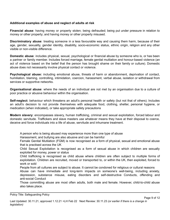## **Additional examples of abuse and neglect of adults at risk**

**Financial abuse**: having money or property stolen; being defrauded; being put under pressure in relation to money or other property; and having money or other property misused.

**Discriminatory abuse**: treating someone in a less favourable way and causing them harm, because of their age, gender, sexuality, gender identity, disability, socio-economic status, ethnic origin, religion and any other visible or non-visible difference.

**Domestic abuse**: includes physical, sexual, psychological or financial abuse by someone who is, or has been a partner or family member. Includes forced marriage, female genital mutilation and honour-based violence (an act of violence based on the belief that the person has brought shame on their family or culture). Domestic abuse does not necessarily involve physical contact or violence.

**Psychological abuse:** including emotional abuse, threats of harm or abandonment, deprivation of contact, humiliation, blaming, controlling, intimidation, coercion, harassment, verbal abuse, isolation or withdrawal from services or supportive networks.

**Organisational abuse**: where the needs of an individual are not met by an organisation due to a culture of poor practice or abusive behaviour within the organisation.

**Self-neglect:** behaviour which threatens an adult's personal health or safety (but not that of others). Includes an adult's decision to not provide themselves with adequate food, clothing, shelter, personal hygiene, or medication (when indicated), or take appropriate safety precautions

**Modern slavery**: encompasses slavery, human trafficking, criminal and sexual exploitation, forced labour and domestic servitude. Traffickers and slave masters use whatever means they have at their disposal to coerce, deceive and force individuals into a life of abuse, servitude and inhumane treatment.

A person who is being abused may experience more than one type of abuse

Harassment, and bullying are also abusive and can be harmful

Female Genital Mutilation (FGM) is now recognised as a form of physical, sexual and emotional abuse that is practised across the UK

Child Sexual Exploitation is recognised as a form of sexual abuse in which children are sexually exploited for money, power or status

Child trafficking is recognised as child abuse where children are often subject to multiple forms of exploitation. Children are recruited, moved or transported to, or within the UK, then exploited, forced to work or sold

People from all cultures are subject to abuse. It cannot be condoned for religious or cultural reasons

Abuse can have immediate and long-term impacts on someone's well-being, including anxiety, depression, substance misuse, eating disorders and self-destructive Conducts, offending and anti-social Conduct

Those committing abuse are most often adults, both male and female. However, child-to-child abuse also takes place.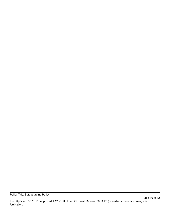Policy Title: Safeguarding Policy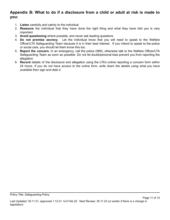# **Appendix B: What to do if a disclosure from a child or adult at risk is made to you:**

- 1. **Listen** carefully and calmly to the individual
- 2. **Reassure** the individual that they have done the right thing and what they have told you is very important
- 3. **Avoid questioning** where possible, and never ask leading questions
- 4. **Do not promise secrecy**. Let the individual know that you will need to speak to the Welfare Officer/LTA Safeguarding Team because it is in their best interest. If you intend to speak to the police or social care, you should let them know this too.
- 5. **Report the concern.** In an emergency, call the police (999), otherwise talk to the Welfare Officer/LTA Safeguarding Team as soon as possible. Do not let doubt/personal bias prevent you from reporting the allegation
- 6. **Record** details of the disclosure and allegation using the LTA's online reporting a concern form within 24 hours. If you do not have access to the online form, write down the details using what you have *available then sign and date it.*

Policy Title: Safeguarding Policy

Page 11 of 12